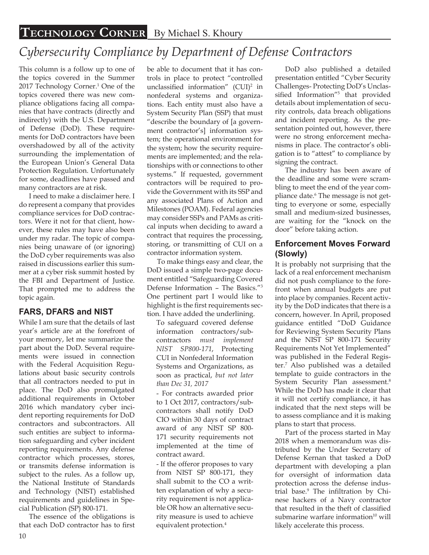# *Cybersecurity Compliance by Department of Defense Contractors*

This column is a follow up to one of the topics covered in the Summer 2017 Technology Corner.<sup>1</sup> One of the topics covered there was new compliance obligations facing all companies that have contracts (directly and indirectly) with the U.S. Department of Defense (DoD). These requirements for DoD contractors have been overshadowed by all of the activity surrounding the implementation of the European Union's General Data Protection Regulation. Unfortunately for some, deadlines have passed and many contractors are at risk.

I need to make a disclaimer here. I do represent a company that provides compliance services for DoD contractors. Were it not for that client, however, these rules may have also been under my radar. The topic of companies being unaware of (or ignoring) the DoD cyber requirements was also raised in discussions earlier this summer at a cyber risk summit hosted by the FBI and Department of Justice. That prompted me to address the topic again.

## **FARS, DFARS and NIST**

While I am sure that the details of last year's article are at the forefront of your memory, let me summarize the part about the DoD. Several requirements were issued in connection with the Federal Acquisition Regulations about basic security controls that all contractors needed to put in place. The DoD also promulgated additional requirements in October 2016 which mandatory cyber incident reporting requirements for DoD contractors and subcontractors. All such entities are subject to information safeguarding and cyber incident reporting requirements. Any defense contractor which processes, stores, or transmits defense information is subject to the rules. As a follow up, the National Institute of Standards and Technology (NIST) established requirements and guidelines in Special Publication (SP) 800-171.

The essence of the obligations is that each DoD contractor has to first

be able to document that it has controls in place to protect "controlled unclassified information"  $(CUI)^2$  in nonfederal systems and organizations. Each entity must also have a System Security Plan (SSP) that must "describe the boundary of [a government contractor's] information system; the operational environment for the system; how the security requirements are implemented; and the relationships with or connections to other systems." If requested, government contractors will be required to provide the Government with its SSP and any associated Plans of Action and Milestones (POAM). Federal agencies may consider SSPs and PAMs as critical inputs when deciding to award a contract that requires the processing, storing, or transmitting of CUI on a contractor information system.

To make things easy and clear, the DoD issued a simple two-page document entitled "Safeguarding Covered Defense Information – The Basics."<sup>3</sup> One pertinent part I would like to highlight is the first requirements section. I have added the underlining.

To safeguard covered defense information contractors/subcontractors *must implement NIST SP800-171*, Protecting CUI in Nonfederal Information Systems and Organizations, as soon as practical, *but not later than Dec 31, 2017*

- For contracts awarded prior to 1 Oct 2017, contractors/subcontractors shall notify DoD CIO within 30 days of contract award of any NIST SP 800- 171 security requirements not implemented at the time of contract award.

- If the offeror proposes to vary from NIST SP 800-171, they shall submit to the CO a written explanation of why a security requirement is not applicable OR how an alternative security measure is used to achieve equivalent protection.4

DoD also published a detailed presentation entitled "Cyber Security Challenges- Protecting DoD's Unclassified Information"<sup>5</sup> that provided details about implementation of security controls, data breach obligations and incident reporting. As the presentation pointed out, however, there were no strong enforcement mechanisms in place. The contractor's obligation is to "attest" to compliance by signing the contract.

The industry has been aware of the deadline and some were scrambling to meet the end of the year compliance date.<sup>6</sup> The message is not getting to everyone or some, especially small and medium-sized businesses, are waiting for the "knock on the door" before taking action.

### **Enforcement Moves Forward (Slowly)**

It is probably not surprising that the lack of a real enforcement mechanism did not push compliance to the forefront when annual budgets are put into place by companies. Recent activity by the DoD indicates that there is a concern, however. In April, proposed guidance entitled "DoD Guidance for Reviewing System Security Plans and the NIST SP 800-171 Security Requirements Not Yet Implemented" was published in the Federal Register.<sup>7</sup> Also published was a detailed template to guide contractors in the System Security Plan assessment.<sup>8</sup> While the DoD has made it clear that it will not certify compliance, it has indicated that the next steps will be to assess compliance and it is making plans to start that process.

Part of the process started in May 2018 when a memorandum was distributed by the Under Secretary of Defense Kernan that tasked a DoD department with developing a plan for oversight of information data protection across the defense industrial base.<sup>9</sup> The infiltration by Chinese hackers of a Navy contractor that resulted in the theft of classified submarine warfare information $10$  will likely accelerate this process.